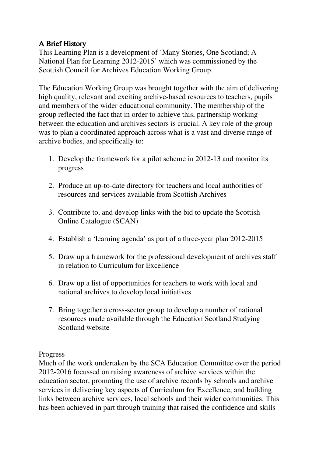# A Brief History

This Learning Plan is a development of 'Many Stories, One Scotland; A National Plan for Learning 2012-2015' which was commissioned by the Scottish Council for Archives Education Working Group.

The Education Working Group was brought together with the aim of delivering high quality, relevant and exciting archive-based resources to teachers, pupils and members of the wider educational community. The membership of the group reflected the fact that in order to achieve this, partnership working between the education and archives sectors is crucial. A key role of the group was to plan a coordinated approach across what is a vast and diverse range of archive bodies, and specifically to:

- 1. Develop the framework for a pilot scheme in 2012-13 and monitor its progress
- 2. Produce an up-to-date directory for teachers and local authorities of resources and services available from Scottish Archives
- 3. Contribute to, and develop links with the bid to update the Scottish Online Catalogue (SCAN)
- 4. Establish a 'learning agenda' as part of a three-year plan 2012-2015
- 5. Draw up a framework for the professional development of archives staff in relation to Curriculum for Excellence
- 6. Draw up a list of opportunities for teachers to work with local and national archives to develop local initiatives
- 7. Bring together a cross-sector group to develop a number of national resources made available through the Education Scotland Studying Scotland website

Progress

Much of the work undertaken by the SCA Education Committee over the period 2012-2016 focussed on raising awareness of archive services within the education sector, promoting the use of archive records by schools and archive services in delivering key aspects of Curriculum for Excellence, and building links between archive services, local schools and their wider communities. This has been achieved in part through training that raised the confidence and skills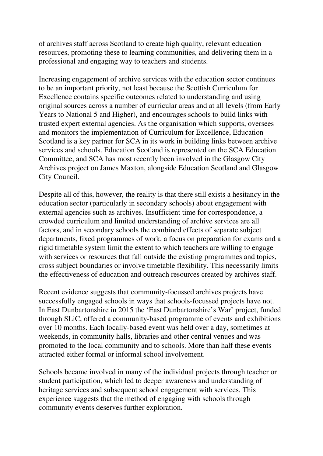of archives staff across Scotland to create high quality, relevant education resources, promoting these to learning communities, and delivering them in a professional and engaging way to teachers and students.

Increasing engagement of archive services with the education sector continues to be an important priority, not least because the Scottish Curriculum for Excellence contains specific outcomes related to understanding and using original sources across a number of curricular areas and at all levels (from Early Years to National 5 and Higher), and encourages schools to build links with trusted expert external agencies. As the organisation which supports, oversees and monitors the implementation of Curriculum for Excellence, Education Scotland is a key partner for SCA in its work in building links between archive services and schools. Education Scotland is represented on the SCA Education Committee, and SCA has most recently been involved in the Glasgow City Archives project on James Maxton, alongside Education Scotland and Glasgow City Council.

Despite all of this, however, the reality is that there still exists a hesitancy in the education sector (particularly in secondary schools) about engagement with external agencies such as archives. Insufficient time for correspondence, a crowded curriculum and limited understanding of archive services are all factors, and in secondary schools the combined effects of separate subject departments, fixed programmes of work, a focus on preparation for exams and a rigid timetable system limit the extent to which teachers are willing to engage with services or resources that fall outside the existing programmes and topics, cross subject boundaries or involve timetable flexibility. This necessarily limits the effectiveness of education and outreach resources created by archives staff.

Recent evidence suggests that community-focussed archives projects have successfully engaged schools in ways that schools-focussed projects have not. In East Dunbartonshire in 2015 the 'East Dunbartonshire's War' project, funded through SLiC, offered a community-based programme of events and exhibitions over 10 months. Each locally-based event was held over a day, sometimes at weekends, in community halls, libraries and other central venues and was promoted to the local community and to schools. More than half these events attracted either formal or informal school involvement.

Schools became involved in many of the individual projects through teacher or student participation, which led to deeper awareness and understanding of heritage services and subsequent school engagement with services. This experience suggests that the method of engaging with schools through community events deserves further exploration.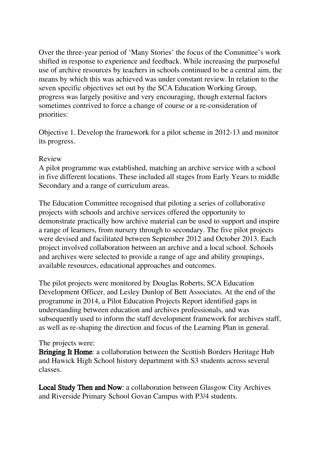Over the three-year period of 'Many Stories' the focus of the Committee's work shifted in response to experience and feedback. While increasing the purposeful use of archive resources by teachers in schools continued to be a central aim, the means by which this was achieved was under constant review. In relation to the seven specific objectives set out by the SCA Education Working Group, progress was largely positive and very encouraging, though external factors sometimes contrived to force a change of course or a re-consideration of priorities:

Objective 1. Develop the framework for a pilot scheme in 2012-13 and monitor its progress.

#### Review

A pilot programme was established, matching an archive service with a school in five different locations. These included all stages from Early Years to middle Secondary and a range of curriculum areas.

The Education Committee recognised that piloting a series of collaborative projects with schools and archive services offered the opportunity to demonstrate practically how archive material can be used to support and inspire a range of learners, from nursery through to secondary. The five pilot projects were devised and facilitated between September 2012 and October 2013. Each project involved collaboration between an archive and a local school. Schools and archives were selected to provide a range of age and ability groupings, available resources, educational approaches and outcomes.

The pilot projects were monitored by Douglas Roberts, SCA Education Development Officer, and Lesley Dunlop of Bett Associates. At the end of the programme in 2014, a Pilot Education Projects Report identified gaps in understanding between education and archives professionals, and was subsequently used to inform the staff development framework for archives staff, as well as re-shaping the direction and focus of the Learning Plan in general.

#### The projects were:

Bringing It Home: a collaboration between the Scottish Borders Heritage Hub and Hawick High School history department with S3 students across several classes.

Local Study Then and Now: a collaboration between Glasgow City Archives and Riverside Primary School Govan Campus with P3/4 students.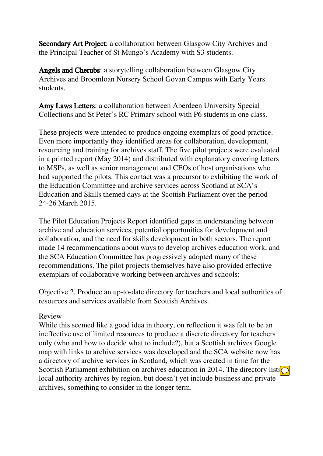Secondary Art Project: a collaboration between Glasgow City Archives and the Principal Teacher of St Mungo's Academy with S3 students.

Angels and Cherubs: a storytelling collaboration between Glasgow City Archives and Broomloan Nursery School Govan Campus with Early Years students.

Amy Laws Letters: a collaboration between Aberdeen University Special Collections and St Peter's RC Primary school with P6 students in one class.

These projects were intended to produce ongoing exemplars of good practice. Even more importantly they identified areas for collaboration, development, resourcing and training for archives staff. The five pilot projects were evaluated in a printed report (May 2014) and distributed with explanatory covering letters to MSPs, as well as senior management and CEOs of host organisations who had supported the pilots. This contact was a precursor to exhibiting the work of the Education Committee and archive services across Scotland at SCA's Education and Skills themed days at the Scottish Parliament over the period 24-26 March 2015.

The Pilot Education Projects Report identified gaps in understanding between archive and education services, potential opportunities for development and collaboration, and the need for skills development in both sectors. The report made 14 recommendations about ways to develop archives education work, and the SCA Education Committee has progressively adopted many of these recommendations. The pilot projects themselves have also provided effective exemplars of collaborative working between archives and schools:

Objective 2. Produce an up-to-date directory for teachers and local authorities of resources and services available from Scottish Archives.

#### Review

While this seemed like a good idea in theory, on reflection it was felt to be an ineffective use of limited resources to produce a discrete directory for teachers only (who and how to decide what to include?), but a Scottish archives Google map with links to archive services was developed and the SCA website now has a directory of archive services in Scotland, which was created in time for the Scottish Parliament exhibition on archives education in 2014. The directory lists  $\bigcirc$ local authority archives by region, but doesn't yet include business and private archives, something to consider in the longer term.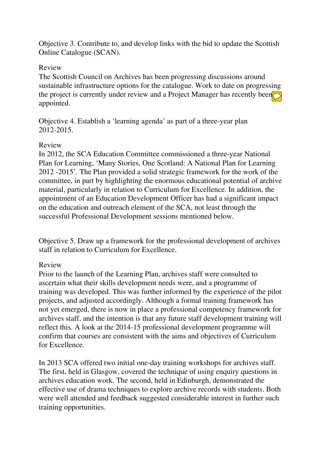Objective 3. Contribute to, and develop links with the bid to update the Scottish Online Catalogue (SCAN).

#### Review

The Scottish Council on Archives has been progressing discussions around sustainable infrastructure options for the catalogue. Work to date on progressing the project is currently under review and a Project Manager has recently been  $\bigcirc$ appointed.

Objective 4. Establish a 'learning agenda' as part of a three-year plan 2012-2015.

#### Review

In 2012, the SCA Education Committee commissioned a three-year National Plan for Learning, 'Many Stories, One Scotland: A National Plan for Learning 2012 -2015'. The Plan provided a solid strategic framework for the work of the committee, in part by highlighting the enormous educational potential of archive material, particularly in relation to Curriculum for Excellence. In addition, the appointment of an Education Development Officer has had a significant impact on the education and outreach element of the SCA, not least through the successful Professional Development sessions mentioned below.

Objective 5. Draw up a framework for the professional development of archives staff in relation to Curriculum for Excellence.

#### Review

Prior to the launch of the Learning Plan, archives staff were consulted to ascertain what their skills development needs were, and a programme of training was developed. This was further informed by the experience of the pilot projects, and adjusted accordingly. Although a formal training framework has not yet emerged, there is now in place a professional competency framework for archives staff, and the intention is that any future staff development training will reflect this. A look at the 2014-15 professional development programme will confirm that courses are consistent with the aims and objectives of Curriculum for Excellence.

In 2013 SCA offered two initial one-day training workshops for archives staff. The first, held in Glasgow, covered the technique of using enquiry questions in archives education work. The second, held in Edinburgh, demonstrated the effective use of drama techniques to explore archive records with students. Both were well attended and feedback suggested considerable interest in further such training opportunities.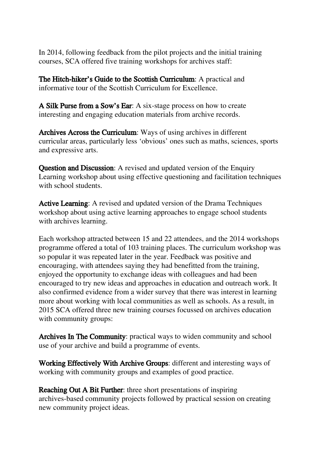In 2014, following feedback from the pilot projects and the initial training courses, SCA offered five training workshops for archives staff:

The Hitch-hiker's Guide to the Scottish Curriculum: A practical and informative tour of the Scottish Curriculum for Excellence.

A Silk Purse from a Sow's Ear: A six-stage process on how to create interesting and engaging education materials from archive records.

Archives Across the Curriculum: Ways of using archives in different curricular areas, particularly less 'obvious' ones such as maths, sciences, sports and expressive arts.

**Question and Discussion:** A revised and updated version of the Enquiry Learning workshop about using effective questioning and facilitation techniques with school students.

Active Learning: A revised and updated version of the Drama Techniques workshop about using active learning approaches to engage school students with archives learning.

Each workshop attracted between 15 and 22 attendees, and the 2014 workshops programme offered a total of 103 training places. The curriculum workshop was so popular it was repeated later in the year. Feedback was positive and encouraging, with attendees saying they had benefitted from the training, enjoyed the opportunity to exchange ideas with colleagues and had been encouraged to try new ideas and approaches in education and outreach work. It also confirmed evidence from a wider survey that there was interest in learning more about working with local communities as well as schools. As a result, in 2015 SCA offered three new training courses focussed on archives education with community groups:

Archives In The Community: practical ways to widen community and school use of your archive and build a programme of events.

Working Effectively With Archive Groups: different and interesting ways of working with community groups and examples of good practice.

Reaching Out A Bit Further: three short presentations of inspiring archives-based community projects followed by practical session on creating new community project ideas.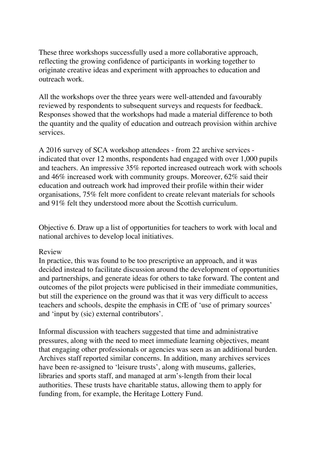These three workshops successfully used a more collaborative approach, reflecting the growing confidence of participants in working together to originate creative ideas and experiment with approaches to education and outreach work.

All the workshops over the three years were well-attended and favourably reviewed by respondents to subsequent surveys and requests for feedback. Responses showed that the workshops had made a material difference to both the quantity and the quality of education and outreach provision within archive services.

A 2016 survey of SCA workshop attendees - from 22 archive services indicated that over 12 months, respondents had engaged with over 1,000 pupils and teachers. An impressive 35% reported increased outreach work with schools and 46% increased work with community groups. Moreover, 62% said their education and outreach work had improved their profile within their wider organisations, 75% felt more confident to create relevant materials for schools and 91% felt they understood more about the Scottish curriculum.

Objective 6. Draw up a list of opportunities for teachers to work with local and national archives to develop local initiatives.

#### Review

In practice, this was found to be too prescriptive an approach, and it was decided instead to facilitate discussion around the development of opportunities and partnerships, and generate ideas for others to take forward. The content and outcomes of the pilot projects were publicised in their immediate communities, but still the experience on the ground was that it was very difficult to access teachers and schools, despite the emphasis in CfE of 'use of primary sources' and 'input by (sic) external contributors'.

Informal discussion with teachers suggested that time and administrative pressures, along with the need to meet immediate learning objectives, meant that engaging other professionals or agencies was seen as an additional burden. Archives staff reported similar concerns. In addition, many archives services have been re-assigned to 'leisure trusts', along with museums, galleries, libraries and sports staff, and managed at arm's-length from their local authorities. These trusts have charitable status, allowing them to apply for funding from, for example, the Heritage Lottery Fund.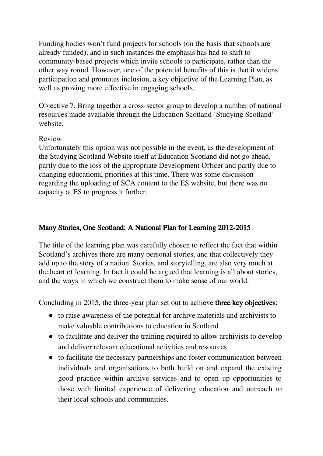Funding bodies won't fund projects for schools (on the basis that schools are already funded), and in such instances the emphasis has had to shift to community-based projects which invite schools to participate, rather than the other way round. However, one of the potential benefits of this is that it widens participation and promotes inclusion, a key objective of the Learning Plan, as well as proving more effective in engaging schools.

Objective 7. Bring together a cross-sector group to develop a number of national resources made available through the Education Scotland 'Studying Scotland' website.

#### Review

Unfortunately this option was not possible in the event, as the development of the Studying Scotland Website itself at Education Scotland did not go ahead, partly due to the loss of the appropriate Development Officer and partly due to changing educational priorities at this time. There was some discussion regarding the uploading of SCA content to the ES website, but there was no capacity at ES to progress it further.

# Many Stories, One Scotland: A National Plan for Learning 2012-2015

The title of the learning plan was carefully chosen to reflect the fact that within Scotland's archives there are many personal stories, and that collectively they add up to the story of a nation. Stories, and storytelling, are also very much at the heart of learning. In fact it could be argued that learning is all about stories, and the ways in which we construct them to make sense of our world.

Concluding in 2015, the three-year plan set out to achieve **three key objectives**:

- to raise awareness of the potential for archive materials and archivists to make valuable contributions to education in Scotland
- to facilitate and deliver the training required to allow archivists to develop and deliver relevant educational activities and resources
- to facilitate the necessary partnerships and foster communication between individuals and organisations to both build on and expand the existing good practice within archive services and to open up opportunities to those with limited experience of delivering education and outreach to their local schools and communities.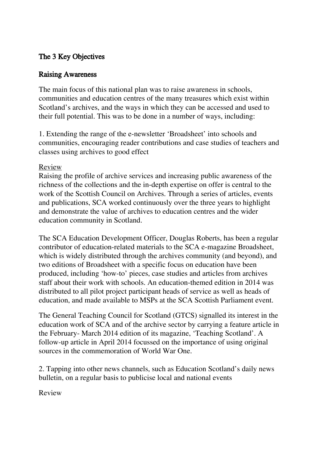## The 3 Key Objectives

## Raising Awareness

The main focus of this national plan was to raise awareness in schools, communities and education centres of the many treasures which exist within Scotland's archives, and the ways in which they can be accessed and used to their full potential. This was to be done in a number of ways, including:

1. Extending the range of the e-newsletter 'Broadsheet' into schools and communities, encouraging reader contributions and case studies of teachers and classes using archives to good effect

#### Review

Raising the profile of archive services and increasing public awareness of the richness of the collections and the in-depth expertise on offer is central to the work of the Scottish Council on Archives. Through a series of articles, events and publications, SCA worked continuously over the three years to highlight and demonstrate the value of archives to education centres and the wider education community in Scotland.

The SCA Education Development Officer, Douglas Roberts, has been a regular contributor of education-related materials to the SCA e-magazine Broadsheet, which is widely distributed through the archives community (and beyond), and two editions of Broadsheet with a specific focus on education have been produced, including 'how-to' pieces, case studies and articles from archives staff about their work with schools. An education-themed edition in 2014 was distributed to all pilot project participant heads of service as well as heads of education, and made available to MSPs at the SCA Scottish Parliament event.

The General Teaching Council for Scotland (GTCS) signalled its interest in the education work of SCA and of the archive sector by carrying a feature article in the February- March 2014 edition of its magazine, 'Teaching Scotland'. A follow-up article in April 2014 focussed on the importance of using original sources in the commemoration of World War One.

2. Tapping into other news channels, such as Education Scotland's daily news bulletin, on a regular basis to publicise local and national events

Review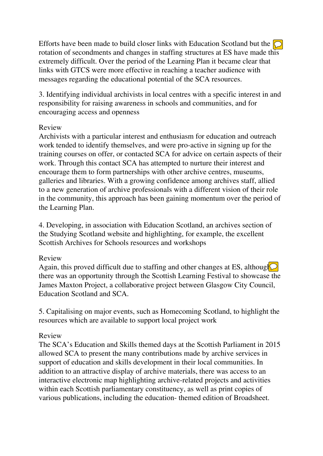Efforts have been made to build closer links with Education Scotland but the  $\bigcirc$ rotation of secondments and changes in staffing structures at ES have made this extremely difficult. Over the period of the Learning Plan it became clear that links with GTCS were more effective in reaching a teacher audience with messages regarding the educational potential of the SCA resources.

3. Identifying individual archivists in local centres with a specific interest in and responsibility for raising awareness in schools and communities, and for encouraging access and openness

#### Review

Archivists with a particular interest and enthusiasm for education and outreach work tended to identify themselves, and were pro-active in signing up for the training courses on offer, or contacted SCA for advice on certain aspects of their work. Through this contact SCA has attempted to nurture their interest and encourage them to form partnerships with other archive centres, museums, galleries and libraries. With a growing confidence among archives staff, allied to a new generation of archive professionals with a different vision of their role in the community, this approach has been gaining momentum over the period of the Learning Plan.

4. Developing, in association with Education Scotland, an archives section of the Studying Scotland website and highlighting, for example, the excellent Scottish Archives for Schools resources and workshops

#### Review

Again, this proved difficult due to staffing and other changes at ES, although  $\Omega$ there was an opportunity through the Scottish Learning Festival to showcase the James Maxton Project, a collaborative project between Glasgow City Council, Education Scotland and SCA.

5. Capitalising on major events, such as Homecoming Scotland, to highlight the resources which are available to support local project work

#### Review

The SCA's Education and Skills themed days at the Scottish Parliament in 2015 allowed SCA to present the many contributions made by archive services in support of education and skills development in their local communities. In addition to an attractive display of archive materials, there was access to an interactive electronic map highlighting archive-related projects and activities within each Scottish parliamentary constituency, as well as print copies of various publications, including the education- themed edition of Broadsheet.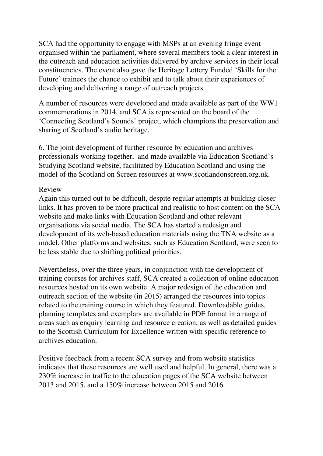SCA had the opportunity to engage with MSPs at an evening fringe event organised within the parliament, where several members took a clear interest in the outreach and education activities delivered by archive services in their local constituencies. The event also gave the Heritage Lottery Funded 'Skills for the Future' trainees the chance to exhibit and to talk about their experiences of developing and delivering a range of outreach projects.

A number of resources were developed and made available as part of the WW1 commemorations in 2014, and SCA is represented on the board of the 'Connecting Scotland's Sounds' project, which champions the preservation and sharing of Scotland's audio heritage.

6. The joint development of further resource by education and archives professionals working together, and made available via Education Scotland's Studying Scotland website, facilitated by Education Scotland and using the model of the Scotland on Screen resources at www.scotlandonscreen.org.uk.

#### Review

Again this turned out to be difficult, despite regular attempts at building closer links. It has proven to be more practical and realistic to host content on the SCA website and make links with Education Scotland and other relevant organisations via social media. The SCA has started a redesign and development of its web-based education materials using the TNA website as a model. Other platforms and websites, such as Education Scotland, were seen to be less stable due to shifting political priorities.

Nevertheless, over the three years, in conjunction with the development of training courses for archives staff, SCA created a collection of online education resources hosted on its own website. A major redesign of the education and outreach section of the website (in 2015) arranged the resources into topics related to the training course in which they featured. Downloadable guides, planning templates and exemplars are available in PDF format in a range of areas such as enquiry learning and resource creation, as well as detailed guides to the Scottish Curriculum for Excellence written with specific reference to archives education.

Positive feedback from a recent SCA survey and from website statistics indicates that these resources are well used and helpful. In general, there was a 230% increase in traffic to the education pages of the SCA website between 2013 and 2015, and a 150% increase between 2015 and 2016.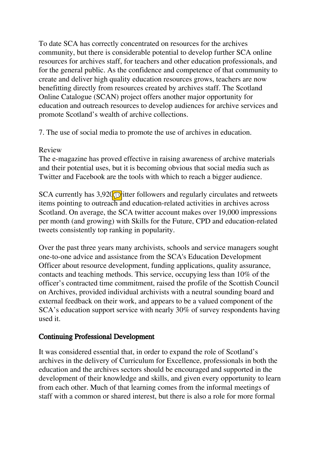To date SCA has correctly concentrated on resources for the archives community, but there is considerable potential to develop further SCA online resources for archives staff, for teachers and other education professionals, and for the general public. As the confidence and competence of that community to create and deliver high quality education resources grows, teachers are now benefitting directly from resources created by archives staff. The Scotland Online Catalogue (SCAN) project offers another major opportunity for education and outreach resources to develop audiences for archive services and promote Scotland's wealth of archive collections.

7. The use of social media to promote the use of archives in education.

## Review

The e-magazine has proved effective in raising awareness of archive materials and their potential uses, but it is becoming obvious that social media such as Twitter and Facebook are the tools with which to reach a bigger audience.

SCA currently has  $3,920$  titter followers and regularly circulates and retweets items pointing to outreach and education-related activities in archives across Scotland. On average, the SCA twitter account makes over 19,000 impressions per month (and growing) with Skills for the Future, CPD and education-related tweets consistently top ranking in popularity.

Over the past three years many archivists, schools and service managers sought one-to-one advice and assistance from the SCA's Education Development Officer about resource development, funding applications, quality assurance, contacts and teaching methods. This service, occupying less than 10% of the officer's contracted time commitment, raised the profile of the Scottish Council on Archives, provided individual archivists with a neutral sounding board and external feedback on their work, and appears to be a valued component of the SCA's education support service with nearly 30% of survey respondents having used it.

## Continuing Professional Development

It was considered essential that, in order to expand the role of Scotland's archives in the delivery of Curriculum for Excellence, professionals in both the education and the archives sectors should be encouraged and supported in the development of their knowledge and skills, and given every opportunity to learn from each other. Much of that learning comes from the informal meetings of staff with a common or shared interest, but there is also a role for more formal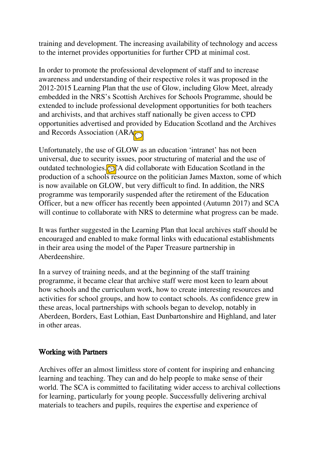training and development. The increasing availability of technology and access to the internet provides opportunities for further CPD at minimal cost.

In order to promote the professional development of staff and to increase awareness and understanding of their respective roles it was proposed in the 2012-2015 Learning Plan that the use of Glow, including Glow Meet, already embedded in the NRS's Scottish Archives for Schools Programme, should be extended to include professional development opportunities for both teachers and archivists, and that archives staff nationally be given access to CPD opportunities advertised and provided by Education Scotland and the Archives and Records Association (ARA).

Unfortunately, the use of GLOW as an education 'intranet' has not been universal, due to security issues, poor structuring of material and the use of outdated technologies.  $\odot$  A did collaborate with Education Scotland in the production of a schools resource on the politician James Maxton, some of which is now available on GLOW, but very difficult to find. In addition, the NRS programme was temporarily suspended after the retirement of the Education Officer, but a new officer has recently been appointed (Autumn 2017) and SCA will continue to collaborate with NRS to determine what progress can be made.

It was further suggested in the Learning Plan that local archives staff should be encouraged and enabled to make formal links with educational establishments in their area using the model of the Paper Treasure partnership in Aberdeenshire.

In a survey of training needs, and at the beginning of the staff training programme, it became clear that archive staff were most keen to learn about how schools and the curriculum work, how to create interesting resources and activities for school groups, and how to contact schools. As confidence grew in these areas, local partnerships with schools began to develop, notably in Aberdeen, Borders, East Lothian, East Dunbartonshire and Highland, and later in other areas.

#### Working with Partners

Archives offer an almost limitless store of content for inspiring and enhancing learning and teaching. They can and do help people to make sense of their world. The SCA is committed to facilitating wider access to archival collections for learning, particularly for young people. Successfully delivering archival materials to teachers and pupils, requires the expertise and experience of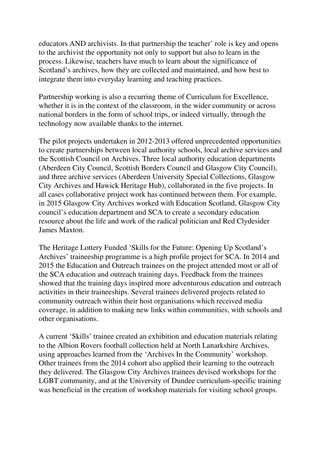educators AND archivists. In that partnership the teacher' role is key and opens to the archivist the opportunity not only to support but also to learn in the process. Likewise, teachers have much to learn about the significance of Scotland's archives, how they are collected and maintained, and how best to integrate them into everyday learning and teaching practices.

Partnership working is also a recurring theme of Curriculum for Excellence, whether it is in the context of the classroom, in the wider community or across national borders in the form of school trips, or indeed virtually, through the technology now available thanks to the internet.

The pilot projects undertaken in 2012-2013 offered unprecedented opportunities to create partnerships between local authority schools, local archive services and the Scottish Council on Archives. Three local authority education departments (Aberdeen City Council, Scottish Borders Council and Glasgow City Council), and three archive services (Aberdeen University Special Collections, Glasgow City Archives and Hawick Heritage Hub), collaborated in the five projects. In all cases collaborative project work has continued between them. For example, in 2015 Glasgow City Archives worked with Education Scotland, Glasgow City council's education department and SCA to create a secondary education resource about the life and work of the radical politician and Red Clydesider James Maxton.

The Heritage Lottery Funded 'Skills for the Future: Opening Up Scotland's Archives' traineeship programme is a high profile project for SCA. In 2014 and 2015 the Education and Outreach trainees on the project attended most or all of the SCA education and outreach training days. Feedback from the trainees showed that the training days inspired more adventurous education and outreach activities in their traineeships. Several trainees delivered projects related to community outreach within their host organisations which received media coverage, in addition to making new links within communities, with schools and other organisations.

A current 'Skills' trainee created an exhibition and education materials relating to the Albion Rovers football collection held at North Lanarkshire Archives, using approaches learned from the 'Archives In the Community' workshop. Other trainees from the 2014 cohort also applied their learning to the outreach they delivered. The Glasgow City Archives trainees devised workshops for the LGBT community, and at the University of Dundee curriculum-specific training was beneficial in the creation of workshop materials for visiting school groups.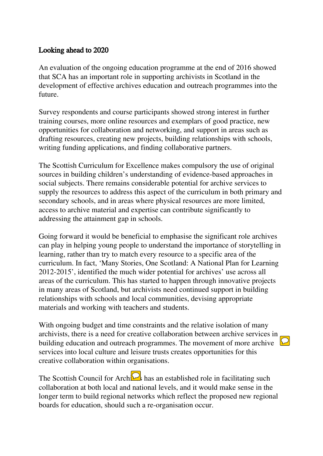## Looking ahead to 2020

An evaluation of the ongoing education programme at the end of 2016 showed that SCA has an important role in supporting archivists in Scotland in the development of effective archives education and outreach programmes into the future.

Survey respondents and course participants showed strong interest in further training courses, more online resources and exemplars of good practice, new opportunities for collaboration and networking, and support in areas such as drafting resources, creating new projects, building relationships with schools, writing funding applications, and finding collaborative partners.

The Scottish Curriculum for Excellence makes compulsory the use of original sources in building children's understanding of evidence-based approaches in social subjects. There remains considerable potential for archive services to supply the resources to address this aspect of the curriculum in both primary and secondary schools, and in areas where physical resources are more limited, access to archive material and expertise can contribute significantly to addressing the attainment gap in schools.

Going forward it would be beneficial to emphasise the significant role archives can play in helping young people to understand the importance of storytelling in learning, rather than try to match every resource to a specific area of the curriculum. In fact, 'Many Stories, One Scotland: A National Plan for Learning 2012-2015', identified the much wider potential for archives' use across all areas of the curriculum. This has started to happen through innovative projects in many areas of Scotland, but archivists need continued support in building relationships with schools and local communities, devising appropriate materials and working with teachers and students.

With ongoing budget and time constraints and the relative isolation of many archivists, there is a need for creative collaboration between archive services in building education and outreach programmes. The movement of more archive  $\boxed{\mathcal{Q}}$ services into local culture and leisure trusts creates opportunities for this creative collaboration within organisations.

The Scottish Council for Arch $\overline{\mathcal{Q}}_s$  has an established role in facilitating such collaboration at both local and national levels, and it would make sense in the longer term to build regional networks which reflect the proposed new regional boards for education, should such a re-organisation occur.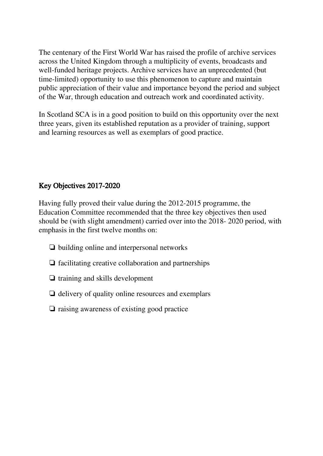The centenary of the First World War has raised the profile of archive services across the United Kingdom through a multiplicity of events, broadcasts and well-funded heritage projects. Archive services have an unprecedented (but time-limited) opportunity to use this phenomenon to capture and maintain public appreciation of their value and importance beyond the period and subject of the War, through education and outreach work and coordinated activity.

In Scotland SCA is in a good position to build on this opportunity over the next three years, given its established reputation as a provider of training, support and learning resources as well as exemplars of good practice.

# Key Objectives 2017-2020

Having fully proved their value during the 2012-2015 programme, the Education Committee recommended that the three key objectives then used should be (with slight amendment) carried over into the 2018- 2020 period, with emphasis in the first twelve months on:

- ❏ building online and interpersonal networks
- ❏ facilitating creative collaboration and partnerships
- ❏ training and skills development
- ❏ delivery of quality online resources and exemplars
- ❏ raising awareness of existing good practice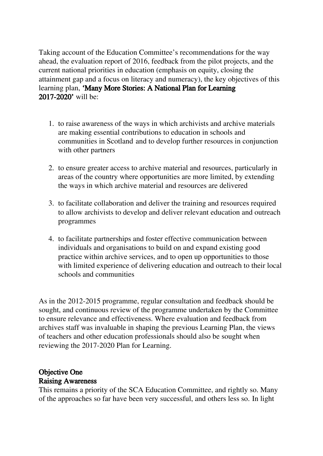Taking account of the Education Committee's recommendations for the way ahead, the evaluation report of 2016, feedback from the pilot projects, and the current national priorities in education (emphasis on equity, closing the attainment gap and a focus on literacy and numeracy), the key objectives of this learning plan, 'Many More Stories: A National Plan for Learning 2017-2020' will be:

- 1. to raise awareness of the ways in which archivists and archive materials are making essential contributions to education in schools and communities in Scotland and to develop further resources in conjunction with other partners
- 2. to ensure greater access to archive material and resources, particularly in areas of the country where opportunities are more limited, by extending the ways in which archive material and resources are delivered
- 3. to facilitate collaboration and deliver the training and resources required to allow archivists to develop and deliver relevant education and outreach programmes
- 4. to facilitate partnerships and foster effective communication between individuals and organisations to build on and expand existing good practice within archive services, and to open up opportunities to those with limited experience of delivering education and outreach to their local schools and communities

As in the 2012-2015 programme, regular consultation and feedback should be sought, and continuous review of the programme undertaken by the Committee to ensure relevance and effectiveness. Where evaluation and feedback from archives staff was invaluable in shaping the previous Learning Plan, the views of teachers and other education professionals should also be sought when reviewing the 2017-2020 Plan for Learning.

# Objective One

#### Raising Awareness

This remains a priority of the SCA Education Committee, and rightly so. Many of the approaches so far have been very successful, and others less so. In light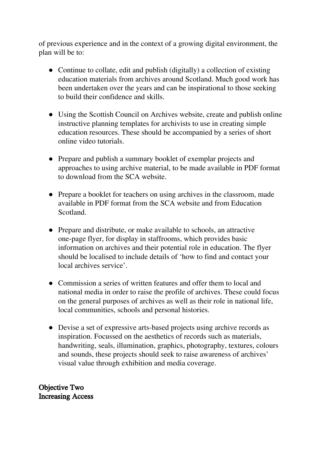of previous experience and in the context of a growing digital environment, the plan will be to:

- Continue to collate, edit and publish (digitally) a collection of existing education materials from archives around Scotland. Much good work has been undertaken over the years and can be inspirational to those seeking to build their confidence and skills.
- Using the Scottish Council on Archives website, create and publish online instructive planning templates for archivists to use in creating simple education resources. These should be accompanied by a series of short online video tutorials.
- Prepare and publish a summary booklet of exemplar projects and approaches to using archive material, to be made available in PDF format to download from the SCA website.
- Prepare a booklet for teachers on using archives in the classroom, made available in PDF format from the SCA website and from Education Scotland.
- Prepare and distribute, or make available to schools, an attractive one-page flyer, for display in staffrooms, which provides basic information on archives and their potential role in education. The flyer should be localised to include details of 'how to find and contact your local archives service'.
- Commission a series of written features and offer them to local and national media in order to raise the profile of archives. These could focus on the general purposes of archives as well as their role in national life, local communities, schools and personal histories.
- Devise a set of expressive arts-based projects using archive records as inspiration. Focussed on the aesthetics of records such as materials, handwriting, seals, illumination, graphics, photography, textures, colours and sounds, these projects should seek to raise awareness of archives' visual value through exhibition and media coverage.

Objective Two Increasing Access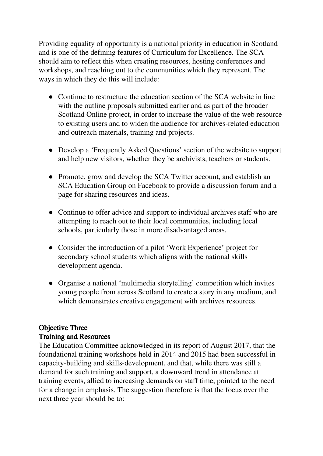Providing equality of opportunity is a national priority in education in Scotland and is one of the defining features of Curriculum for Excellence. The SCA should aim to reflect this when creating resources, hosting conferences and workshops, and reaching out to the communities which they represent. The ways in which they do this will include:

- Continue to restructure the education section of the SCA website in line with the outline proposals submitted earlier and as part of the broader Scotland Online project, in order to increase the value of the web resource to existing users and to widen the audience for archives-related education and outreach materials, training and projects.
- Develop a 'Frequently Asked Questions' section of the website to support and help new visitors, whether they be archivists, teachers or students.
- Promote, grow and develop the SCA Twitter account, and establish an SCA Education Group on Facebook to provide a discussion forum and a page for sharing resources and ideas.
- Continue to offer advice and support to individual archives staff who are attempting to reach out to their local communities, including local schools, particularly those in more disadvantaged areas.
- Consider the introduction of a pilot 'Work Experience' project for secondary school students which aligns with the national skills development agenda.
- Organise a national 'multimedia storytelling' competition which invites young people from across Scotland to create a story in any medium, and which demonstrates creative engagement with archives resources.

# Objective Three Training and Resources

The Education Committee acknowledged in its report of August 2017, that the foundational training workshops held in 2014 and 2015 had been successful in capacity-building and skills-development, and that, while there was still a demand for such training and support, a downward trend in attendance at training events, allied to increasing demands on staff time, pointed to the need for a change in emphasis. The suggestion therefore is that the focus over the next three year should be to: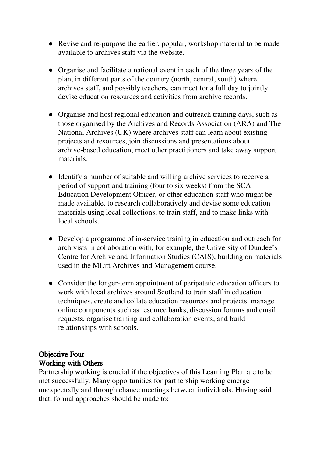- Revise and re-purpose the earlier, popular, workshop material to be made available to archives staff via the website.
- Organise and facilitate a national event in each of the three years of the plan, in different parts of the country (north, central, south) where archives staff, and possibly teachers, can meet for a full day to jointly devise education resources and activities from archive records.
- Organise and host regional education and outreach training days, such as those organised by the Archives and Records Association (ARA) and The National Archives (UK) where archives staff can learn about existing projects and resources, join discussions and presentations about archive-based education, meet other practitioners and take away support materials.
- Identify a number of suitable and willing archive services to receive a period of support and training (four to six weeks) from the SCA Education Development Officer, or other education staff who might be made available, to research collaboratively and devise some education materials using local collections, to train staff, and to make links with local schools.
- Develop a programme of in-service training in education and outreach for archivists in collaboration with, for example, the University of Dundee's Centre for Archive and Information Studies (CAIS), building on materials used in the MLitt Archives and Management course.
- Consider the longer-term appointment of peripatetic education officers to work with local archives around Scotland to train staff in education techniques, create and collate education resources and projects, manage online components such as resource banks, discussion forums and email requests, organise training and collaboration events, and build relationships with schools.

# Objective Four Working with Others

Partnership working is crucial if the objectives of this Learning Plan are to be met successfully. Many opportunities for partnership working emerge unexpectedly and through chance meetings between individuals. Having said that, formal approaches should be made to: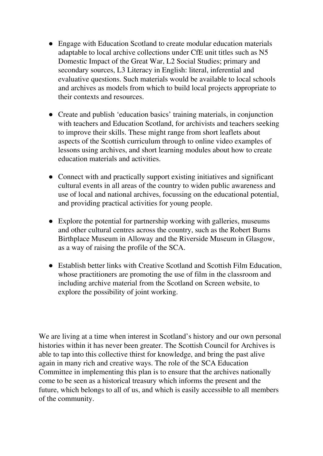- Engage with Education Scotland to create modular education materials adaptable to local archive collections under CfE unit titles such as N5 Domestic Impact of the Great War, L2 Social Studies; primary and secondary sources, L3 Literacy in English: literal, inferential and evaluative questions. Such materials would be available to local schools and archives as models from which to build local projects appropriate to their contexts and resources.
- Create and publish 'education basics' training materials, in conjunction with teachers and Education Scotland, for archivists and teachers seeking to improve their skills. These might range from short leaflets about aspects of the Scottish curriculum through to online video examples of lessons using archives, and short learning modules about how to create education materials and activities.
- Connect with and practically support existing initiatives and significant cultural events in all areas of the country to widen public awareness and use of local and national archives, focussing on the educational potential, and providing practical activities for young people.
- Explore the potential for partnership working with galleries, museums and other cultural centres across the country, such as the Robert Burns Birthplace Museum in Alloway and the Riverside Museum in Glasgow, as a way of raising the profile of the SCA.
- Establish better links with Creative Scotland and Scottish Film Education, whose practitioners are promoting the use of film in the classroom and including archive material from the Scotland on Screen website, to explore the possibility of joint working.

We are living at a time when interest in Scotland's history and our own personal histories within it has never been greater. The Scottish Council for Archives is able to tap into this collective thirst for knowledge, and bring the past alive again in many rich and creative ways. The role of the SCA Education Committee in implementing this plan is to ensure that the archives nationally come to be seen as a historical treasury which informs the present and the future, which belongs to all of us, and which is easily accessible to all members of the community.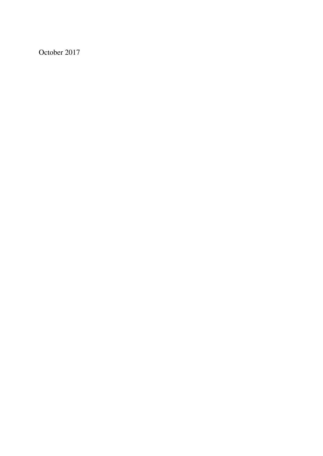October 2017